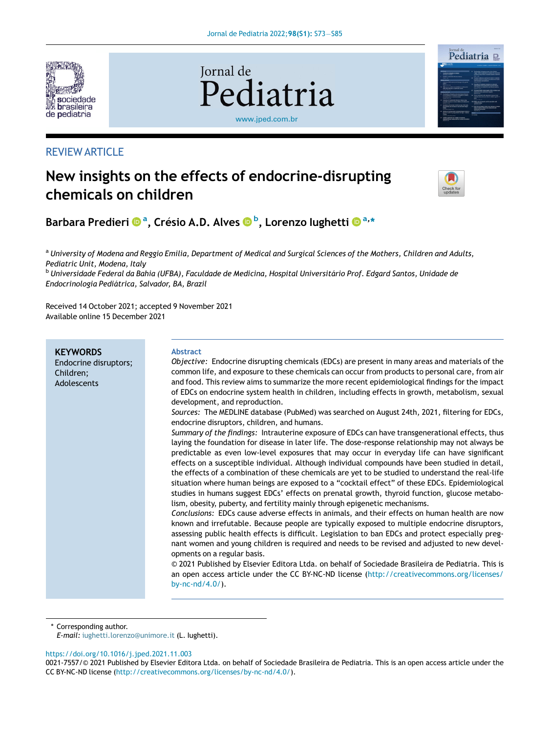

# REVIEW ARTICLE





# New insights on the effects of endocrine-disrupting chemicals on children



B[a](http://orcid.org/0000-0002-3302-6886)rbara Predieri ®ª[, Cr](http://orcid.org/0000-0002-3302-6886)é[sio A.D. Alves](http://orcid.org/0000-0001-7592-3748) ®<sup>[b](http://orcid.org/0000-0001-7592-3748)</sup>[, Lorenzo Iughetti](http://orcid.org/0000-0003-0370-7872) ®ª,[\\*](http://orcid.org/0000-0003-0370-7872)

<sup>a</sup> *University of Modena and Reggio Emilia, Department of Medical and Surgical Sciences of the Mothers, Children and Adults, Pediatric Unit, Modena, Italy*

<sup>b</sup> *Universidade Federal da Bahia (UFBA), Faculdade de Medicina, Hospital Universitario Prof. Edgard Santos, Unidade de Endocrinologia Pediatrica, Salvador, BA, Brazil*

Received 14 October 2021; accepted 9 November 2021 Available online 15 December 2021

| <b>KEYWORDS</b><br>Endocrine disruptors;<br>Children;<br>Adolescents | <b>Abstract</b><br><i>Objective:</i> Endocrine disrupting chemicals (EDCs) are present in many areas and materials of the<br>common life, and exposure to these chemicals can occur from products to personal care, from air<br>and food. This review aims to summarize the more recent epidemiological findings for the impact<br>of EDCs on endocrine system health in children, including effects in growth, metabolism, sexual<br>development, and reproduction.<br>Sources: The MEDLINE database (PubMed) was searched on August 24th, 2021, filtering for EDCs,<br>endocrine disruptors, children, and humans.<br>Summary of the findings: Intrauterine exposure of EDCs can have transgenerational effects, thus<br>laying the foundation for disease in later life. The dose-response relationship may not always be<br>predictable as even low-level exposures that may occur in everyday life can have significant<br>effects on a susceptible individual. Although individual compounds have been studied in detail,<br>the effects of a combination of these chemicals are yet to be studied to understand the real-life<br>situation where human beings are exposed to a "cocktail effect" of these EDCs. Epidemiological<br>studies in humans suggest EDCs' effects on prenatal growth, thyroid function, glucose metabo-<br>lism, obesity, puberty, and fertility mainly through epigenetic mechanisms.<br>Conclusions: EDCs cause adverse effects in animals, and their effects on human health are now<br>known and irrefutable. Because people are typically exposed to multiple endocrine disruptors,<br>assessing public health effects is difficult. Legislation to ban EDCs and protect especially preg-<br>nant women and young children is required and needs to be revised and adjusted to new devel-<br>opments on a regular basis.<br>© 2021 Published by Elsevier Editora Ltda. on behalf of Sociedade Brasileira de Pediatria. This is<br>an open access article under the CC BY-NC-ND license (http://creativecommons.org/licenses/<br>by-nc- $nd/4.0/$ ). |
|----------------------------------------------------------------------|------------------------------------------------------------------------------------------------------------------------------------------------------------------------------------------------------------------------------------------------------------------------------------------------------------------------------------------------------------------------------------------------------------------------------------------------------------------------------------------------------------------------------------------------------------------------------------------------------------------------------------------------------------------------------------------------------------------------------------------------------------------------------------------------------------------------------------------------------------------------------------------------------------------------------------------------------------------------------------------------------------------------------------------------------------------------------------------------------------------------------------------------------------------------------------------------------------------------------------------------------------------------------------------------------------------------------------------------------------------------------------------------------------------------------------------------------------------------------------------------------------------------------------------------------------------------------------------------------------------------------------------------------------------------------------------------------------------------------------------------------------------------------------------------------------------------------------------------------------------------------------------------------------------------------------------------------------------------------------------------------------------------------------------------------------------------------------------|
|----------------------------------------------------------------------|------------------------------------------------------------------------------------------------------------------------------------------------------------------------------------------------------------------------------------------------------------------------------------------------------------------------------------------------------------------------------------------------------------------------------------------------------------------------------------------------------------------------------------------------------------------------------------------------------------------------------------------------------------------------------------------------------------------------------------------------------------------------------------------------------------------------------------------------------------------------------------------------------------------------------------------------------------------------------------------------------------------------------------------------------------------------------------------------------------------------------------------------------------------------------------------------------------------------------------------------------------------------------------------------------------------------------------------------------------------------------------------------------------------------------------------------------------------------------------------------------------------------------------------------------------------------------------------------------------------------------------------------------------------------------------------------------------------------------------------------------------------------------------------------------------------------------------------------------------------------------------------------------------------------------------------------------------------------------------------------------------------------------------------------------------------------------------------|

\* Corresponding author.

*E-mail:* [iughetti.lorenzo@unimore.it](mailto:iughetti.lorenzo@unimore.it) (L. Iughetti).

<https://doi.org/10.1016/j.jped.2021.11.003>

<sup>0021-7557/© 2021</sup> Published by Elsevier Editora Ltda. on behalf of Sociedade Brasileira de Pediatria. This is an open access article under the CC BY-NC-ND license ([http://creativecommons.org/licenses/by-nc-nd/4.0/\)](http://creativecommons.org/licenses/by-nc-nd/4.0/).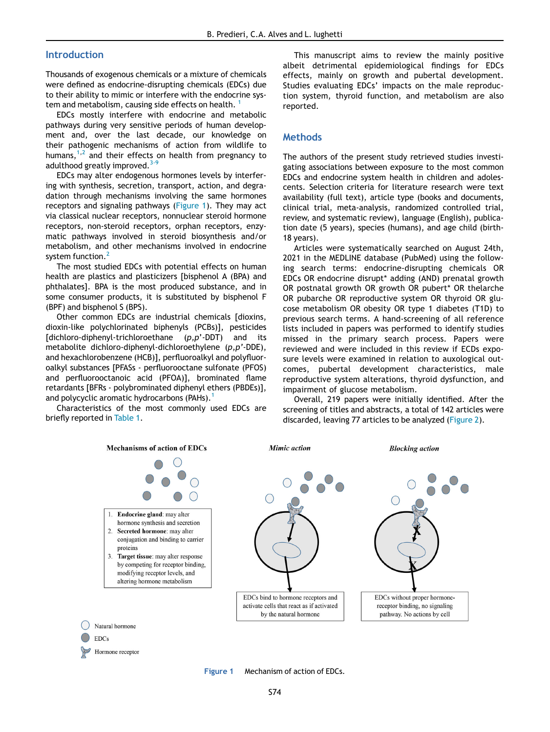### Introduction

Thousands of exogenous chemicals or a mixture of chemicals were defined as endocrine-disrupting chemicals (EDCs) due to their ability to mimic or interfere with the endocrine sys-tem and metabolism, causing side effects on health.<sup>[1](#page-10-0)</sup>

EDCs mostly interfere with endocrine and metabolic pathways during very sensitive periods of human development and, over the last decade, our knowledge on their pathogenic mechanisms of action from wildlife to humans, <sup>[1,](#page-10-0)[2](#page-10-1)</sup> and their effects on health from pregnancy to adulthood greatly improved.<sup>3-1</sup>

EDCs may alter endogenous hormones levels by interfering with synthesis, secretion, transport, action, and degradation through mechanisms involving the same hormones receptors and signaling pathways ([Figure 1\)](#page-1-0). They may act via classical nuclear receptors, nonnuclear steroid hormone receptors, non-steroid receptors, orphan receptors, enzymatic pathways involved in steroid biosynthesis and/or metabolism, and other mechanisms involved in endocrine system function.<sup>[2](#page-10-1)</sup>

The most studied EDCs with potential effects on human health are plastics and plasticizers [bisphenol A (BPA) and phthalates]. BPA is the most produced substance, and in some consumer products, it is substituted by bisphenol F (BPF) and bisphenol S (BPS).

Other common EDCs are industrial chemicals [dioxins, dioxin-like polychlorinated biphenyls (PCBs)], pesticides [dichloro-diphenyl-trichloroethane (*p,p*'-DDT) and its metabolite dichloro-diphenyl-dichloroethylene (*p,p*'-DDE), and hexachlorobenzene (HCB)], perfluoroalkyl and polyfluoroalkyl substances [PFASs - perfluorooctane sulfonate (PFOS) and perfluorooctanoic acid (PFOA)], brominated flame retardants [BFRs - polybrominated diphenyl ethers (PBDEs)], and polycyclic aromatic hydrocarbons (PAHs).<sup>[1](#page-10-0)</sup>

<span id="page-1-0"></span>Characteristics of the most commonly used EDCs are briefly reported in [Table 1.](#page-2-0)

Hormone receptor

This manuscript aims to review the mainly positive albeit detrimental epidemiological findings for EDCs effects, mainly on growth and pubertal development. Studies evaluating EDCs' impacts on the male reproduction system, thyroid function, and metabolism are also reported.

#### Methods

The authors of the present study retrieved studies investigating associations between exposure to the most common EDCs and endocrine system health in children and adolescents. Selection criteria for literature research were text availability (full text), article type (books and documents, clinical trial, meta-analysis, randomized controlled trial, review, and systematic review), language (English), publication date (5 years), species (humans), and age child (birth-18 years).

Articles were systematically searched on August 24th, 2021 in the MEDLINE database (PubMed) using the following search terms: endocrine-disrupting chemicals OR EDCs OR endocrine disrupt\* adding (AND) prenatal growth OR postnatal growth OR growth OR pubert\* OR thelarche OR pubarche OR reproductive system OR thyroid OR glucose metabolism OR obesity OR type 1 diabetes (T1D) to previous search terms. A hand-screening of all reference lists included in papers was performed to identify studies missed in the primary search process. Papers were reviewed and were included in this review if ECDs exposure levels were examined in relation to auxological outcomes, pubertal development characteristics, male reproductive system alterations, thyroid dysfunction, and impairment of glucose metabolism.

Overall, 219 papers were initially identified. After the screening of titles and abstracts, a total of 142 articles were discarded, leaving 77 articles to be analyzed [\(Figure 2\)](#page-3-0).



Figure 1 Mechanism of action of EDCs.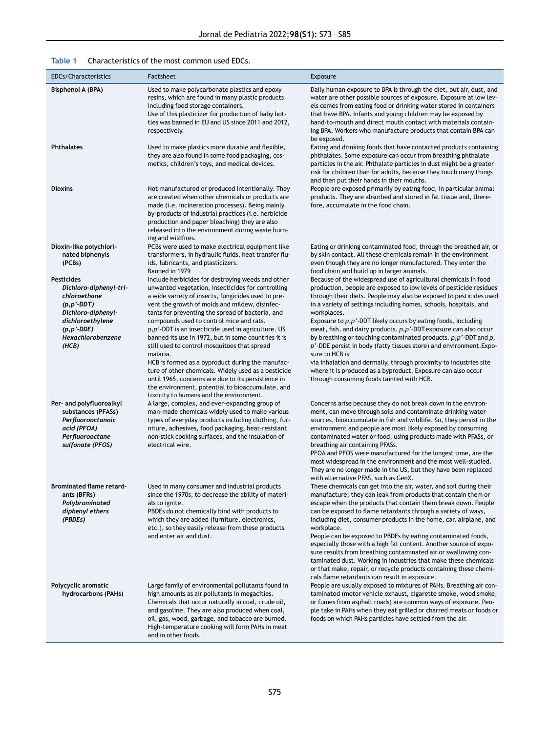<span id="page-2-0"></span>

| EDCs/Characteristics                                                                                                                                                                                                         | Factsheet                                                                                                                                                                                                                                                                                                                                                                                                                                                                                                                                                                                                                                                                                                                                                                                                                                                                                                                        | Exposure                                                                                                                                                                                                                                                                                                                                                                                                                                                                                                                                                                                                                                                                                                                                                                                                                                                                                                                                                                                                                                                  |
|------------------------------------------------------------------------------------------------------------------------------------------------------------------------------------------------------------------------------|----------------------------------------------------------------------------------------------------------------------------------------------------------------------------------------------------------------------------------------------------------------------------------------------------------------------------------------------------------------------------------------------------------------------------------------------------------------------------------------------------------------------------------------------------------------------------------------------------------------------------------------------------------------------------------------------------------------------------------------------------------------------------------------------------------------------------------------------------------------------------------------------------------------------------------|-----------------------------------------------------------------------------------------------------------------------------------------------------------------------------------------------------------------------------------------------------------------------------------------------------------------------------------------------------------------------------------------------------------------------------------------------------------------------------------------------------------------------------------------------------------------------------------------------------------------------------------------------------------------------------------------------------------------------------------------------------------------------------------------------------------------------------------------------------------------------------------------------------------------------------------------------------------------------------------------------------------------------------------------------------------|
| Bisphenol A (BPA)                                                                                                                                                                                                            | Used to make polycarbonate plastics and epoxy<br>resins, which are found in many plastic products<br>including food storage containers.<br>Use of this plasticizer for production of baby bot-<br>tles was banned in EU and US since 2011 and 2012,<br>respectively.                                                                                                                                                                                                                                                                                                                                                                                                                                                                                                                                                                                                                                                             | Daily human exposure to BPA is through the diet, but air, dust, and<br>water are other possible sources of exposure. Exposure at low lev-<br>els comes from eating food or drinking water stored in containers<br>that have BPA. Infants and young children may be exposed by<br>hand-to-mouth and direct mouth contact with materials contain-<br>ing BPA. Workers who manufacture products that contain BPA can<br>be exposed.                                                                                                                                                                                                                                                                                                                                                                                                                                                                                                                                                                                                                          |
| <b>Phthalates</b>                                                                                                                                                                                                            | Used to make plastics more durable and flexible,<br>they are also found in some food packaging, cos-<br>metics, children's toys, and medical devices.                                                                                                                                                                                                                                                                                                                                                                                                                                                                                                                                                                                                                                                                                                                                                                            | Eating and drinking foods that have contacted products containing<br>phthalates. Some exposure can occur from breathing phthalate<br>particles in the air. Phthalate particles in dust might be a greater<br>risk for children than for adults, because they touch many things<br>and then put their hands in their mouths.                                                                                                                                                                                                                                                                                                                                                                                                                                                                                                                                                                                                                                                                                                                               |
| <b>Dioxins</b>                                                                                                                                                                                                               | Not manufactured or produced intentionally. They<br>are created when other chemicals or products are<br>made (i.e. incineration processes). Being mainly<br>by-products of industrial practices (i.e. herbicide<br>production and paper bleaching) they are also<br>released into the environment during waste burn-<br>ing and wildfires.                                                                                                                                                                                                                                                                                                                                                                                                                                                                                                                                                                                       | People are exposed primarily by eating food, in particular animal<br>products. They are absorbed and stored in fat tissue and, there-<br>fore, accumulate in the food chain.                                                                                                                                                                                                                                                                                                                                                                                                                                                                                                                                                                                                                                                                                                                                                                                                                                                                              |
| Dioxin-like polychlori-<br>nated biphenyls<br>(PCBs)<br><b>Pesticides</b><br>Dichloro-diphenyl-tri-<br>chloroethane<br>(p, p'.DDT)<br>Dichloro-diphenyl-<br>dichloroethylene<br>$(p, p'$ -DDE)<br>Hexachlorobenzene<br>(HCB) | PCBs were used to make electrical equipment like<br>transformers, in hydraulic fluids, heat transfer flu-<br>ids, lubricants, and plasticizers.<br>Banned in 1979<br>Include herbicides for destroying weeds and other<br>unwanted vegetation, insecticides for controlling<br>a wide variety of insects, fungicides used to pre-<br>vent the growth of molds and mildew, disinfec-<br>tants for preventing the spread of bacteria, and<br>compounds used to control mice and rats.<br>$p, p'$ -DDT is an insecticide used in agriculture. US<br>banned its use in 1972, but in some countries it is<br>still used to control mosquitoes that spread<br>malaria.<br>HCB is formed as a byproduct during the manufac-<br>ture of other chemicals. Widely used as a pesticide<br>until 1965, concerns are due to its persistence in<br>the environment, potential to bioaccumulate, and<br>toxicity to humans and the environment. | Eating or drinking contaminated food, through the breathed air, or<br>by skin contact. All these chemicals remain in the environment<br>even though they are no longer manufactured. They enter the<br>food chain and build up in larger animals.<br>Because of the widespread use of agricultural chemicals in food<br>production, people are exposed to low levels of pesticide residues<br>through their diets. People may also be exposed to pesticides used<br>in a variety of settings including homes, schools, hospitals, and<br>workplaces.<br>Exposure to $p, p'$ -DDT likely occurs by eating foods, including<br>meat, fish, and dairy products. $p, p'$ -DDT exposure can also occur<br>by breathing or touching contaminated products. $p, p'$ -DDT and $p$ ,<br>$p'$ -DDE persist in body (fatty tissues store) and environment. Expo-<br>sure to HCB is<br>via inhalation and dermally, through proximity to industries site<br>where it is produced as a byproduct. Exposure can also occur<br>through consuming foods tainted with HCB. |
| Per- and polyfluoroalkyl<br>substances (PFASs)<br>Perfluorooctanoic<br>acid (PFOA)<br>Perfluorooctane<br>sulfonate (PFOS)                                                                                                    | A large, complex, and ever-expanding group of<br>man-made chemicals widely used to make various<br>types of everyday products including clothing, fur-<br>niture, adhesives, food packaging, heat-resistant<br>non-stick cooking surfaces, and the insulation of<br>electrical wire.                                                                                                                                                                                                                                                                                                                                                                                                                                                                                                                                                                                                                                             | Concerns arise because they do not break down in the environ-<br>ment, can move through soils and contaminate drinking water<br>sources, bioaccumulate in fish and wildlife. So, they persist in the<br>environment and people are most likely exposed by consuming<br>contaminated water or food, using products made with PFASs, or<br>breathing air containing PFASs.<br>PFOA and PFOS were manufactured for the longest time, are the<br>most widespread in the environment and the most well-studied.<br>They are no longer made in the US, but they have been replaced<br>with alternative PFAS, such as GenX.                                                                                                                                                                                                                                                                                                                                                                                                                                      |
| <b>Brominated flame retard-</b><br>ants (BFRs)<br>Polybrominated<br>diphenyl ethers<br>(PBDEs)                                                                                                                               | Used in many consumer and industrial products<br>since the 1970s, to decrease the ability of materi-<br>als to ignite.<br>PBDEs do not chemically bind with products to<br>which they are added (furniture, electronics,<br>etc.), so they easily release from these products<br>and enter air and dust.                                                                                                                                                                                                                                                                                                                                                                                                                                                                                                                                                                                                                         | These chemicals can get into the air, water, and soil during their<br>manufacture; they can leak from products that contain them or<br>escape when the products that contain them break down. People<br>can be exposed to flame retardants through a variety of ways,<br>including diet, consumer products in the home, car, airplane, and<br>workplace.<br>People can be exposed to PBDEs by eating contaminated foods,<br>especially those with a high fat content. Another source of expo-<br>sure results from breathing contaminated air or swallowing con-<br>taminated dust. Working in industries that make these chemicals<br>or that make, repair, or recycle products containing these chemi-<br>cals flame retardants can result in exposure.                                                                                                                                                                                                                                                                                                 |
| Polycyclic aromatic<br>hydrocarbons (PAHs)                                                                                                                                                                                   | Large family of environmental pollutants found in<br>high amounts as air pollutants in megacities.<br>Chemicals that occur naturally in coal, crude oil,<br>and gasoline. They are also produced when coal,<br>oil, gas, wood, garbage, and tobacco are burned.<br>High-temperature cooking will form PAHs in meat<br>and in other foods.                                                                                                                                                                                                                                                                                                                                                                                                                                                                                                                                                                                        | People are usually exposed to mixtures of PAHs. Breathing air con-<br>taminated (motor vehicle exhaust, cigarette smoke, wood smoke,<br>or fumes from asphalt roads) are common ways of exposure. Peo-<br>ple take in PAHs when they eat grilled or charred meats or foods or<br>foods on which PAHs particles have settled from the air.                                                                                                                                                                                                                                                                                                                                                                                                                                                                                                                                                                                                                                                                                                                 |

## Table 1 Characteristics of the most common used EDCs.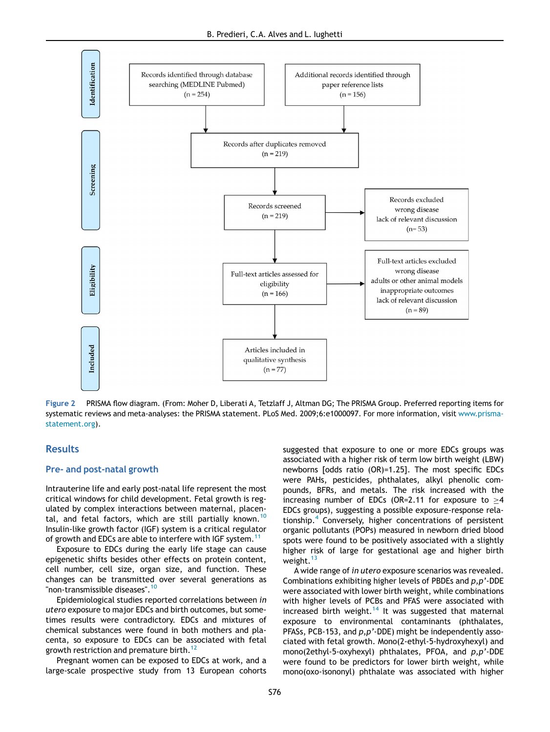<span id="page-3-0"></span>

Figure 2 PRISMA flow diagram. (From: Moher D, Liberati A, Tetzlaff J, Altman DG; The PRISMA Group. Preferred reporting items for systematic reviews and meta-analyses: the PRISMA statement. PLoS Med. 2009;6:e1000097. For more information, visit [www.prisma](http://www.prisma-statement.org)[statement.org](http://www.prisma-statement.org)).

## **Results**

#### Pre- and post-natal growth

Intrauterine life and early post-natal life represent the most critical windows for child development. Fetal growth is regulated by complex interactions between maternal, placen-tal, and fetal factors, which are still partially known.<sup>[10](#page-10-3)</sup> Insulin-like growth factor (IGF) system is a critical regulator of growth and EDCs are able to interfere with IGF system.<sup>[11](#page-10-4)</sup>

Exposure to EDCs during the early life stage can cause epigenetic shifts besides other effects on protein content, cell number, cell size, organ size, and function. These changes can be transmitted over several generations as "non-transmissible diseases".<sup>[10](#page-10-3)</sup>

Epidemiological studies reported correlations between *in utero* exposure to major EDCs and birth outcomes, but sometimes results were contradictory. EDCs and mixtures of chemical substances were found in both mothers and placenta, so exposure to EDCs can be associated with fetal growth restriction and premature birth.<sup>[12](#page-10-5)</sup>

Pregnant women can be exposed to EDCs at work, and a large-scale prospective study from 13 European cohorts suggested that exposure to one or more EDCs groups was associated with a higher risk of term low birth weight (LBW) newborns [odds ratio (OR)=1.25]. The most specific EDCs were PAHs, pesticides, phthalates, alkyl phenolic compounds, BFRs, and metals. The risk increased with the increasing number of EDCs (OR=2.11 for exposure to  $>4$ EDCs groups), suggesting a possible exposure-response relationship.[4](#page-10-6) Conversely, higher concentrations of persistent organic pollutants (POPs) measured in newborn dried blood spots were found to be positively associated with a slightly higher risk of large for gestational age and higher birth weight.<sup>[13](#page-11-0)</sup>

A wide range of *in utero* exposure scenarios was revealed. Combinations exhibiting higher levels of PBDEs and *p,p*'-DDE were associated with lower birth weight, while combinations with higher levels of PCBs and PFAS were associated with increased birth weight.<sup>[14](#page-11-1)</sup> It was suggested that maternal exposure to environmental contaminants (phthalates, PFASs, PCB-153, and *p,p*'-DDE) might be independently associated with fetal growth. Mono(2-ethyl-5-hydroxyhexyl) and mono(2ethyl-5-oxyhexyl) phthalates, PFOA, and *p,p*'-DDE were found to be predictors for lower birth weight, while mono(oxo-isononyl) phthalate was associated with higher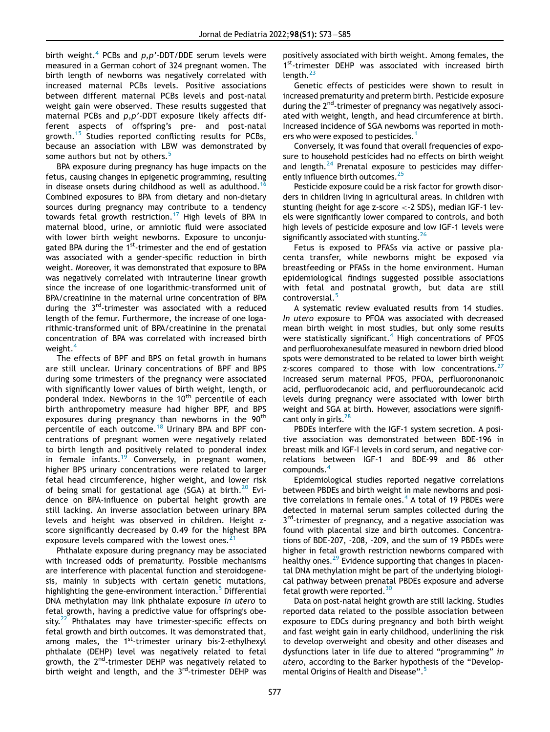birth weight.[4](#page-10-6) PCBs and *p,p*'-DDT/DDE serum levels were measured in a German cohort of 324 pregnant women. The birth length of newborns was negatively correlated with increased maternal PCBs levels. Positive associations between different maternal PCBs levels and post-natal weight gain were observed. These results suggested that maternal PCBs and *p,p*'-DDT exposure likely affects different aspects of offspring's pre- and post-natal growth.[15](#page-11-2) Studies reported conflicting results for PCBs, because an association with LBW was demonstrated by some authors but not by others.<sup>[5](#page-10-7)</sup>

BPA exposure during pregnancy has huge impacts on the fetus, causing changes in epigenetic programming, resulting in disease onsets during childhood as well as adulthood.<sup>1</sup> Combined exposures to BPA from dietary and non-dietary sources during pregnancy may contribute to a tendency towards fetal growth restriction.<sup>[17](#page-11-4)</sup> High levels of BPA in maternal blood, urine, or amniotic fluid were associated with lower birth weight newborns. Exposure to unconjugated BPA during the  $1<sup>st</sup>$ -trimester and the end of gestation was associated with a gender-specific reduction in birth weight. Moreover, it was demonstrated that exposure to BPA was negatively correlated with intrauterine linear growth since the increase of one logarithmic-transformed unit of BPA/creatinine in the maternal urine concentration of BPA during the 3<sup>rd</sup>-trimester was associated with a reduced length of the femur. Furthermore, the increase of one logarithmic-transformed unit of BPA/creatinine in the prenatal concentration of BPA was correlated with increased birth weight.<sup>[4](#page-10-6)</sup>

The effects of BPF and BPS on fetal growth in humans are still unclear. Urinary concentrations of BPF and BPS during some trimesters of the pregnancy were associated with significantly lower values of birth weight, length, or ponderal index. Newborns in the 10<sup>th</sup> percentile of each birth anthropometry measure had higher BPF, and BPS exposures during pregnancy than newborns in the 90<sup>th</sup> percentile of each outcome.[18](#page-11-5) Urinary BPA and BPF concentrations of pregnant women were negatively related to birth length and positively related to ponderal index in female infants.<sup>[19](#page-11-6)</sup> Conversely, in pregnant women, higher BPS urinary concentrations were related to larger fetal head circumference, higher weight, and lower risk of being small for gestational age (SGA) at birth.<sup>[20](#page-11-7)</sup> Evidence on BPA-influence on pubertal height growth are still lacking. An inverse association between urinary BPA levels and height was observed in children. Height zscore significantly decreased by 0.49 for the highest BPA exposure levels compared with the lowest ones.<sup>[21](#page-11-8)</sup>

Phthalate exposure during pregnancy may be associated with increased odds of prematurity. Possible mechanisms are interference with placental function and steroidogenesis, mainly in subjects with certain genetic mutations, highlighting the gene-environment interaction.<sup>[5](#page-10-7)</sup> Differential DNA methylation may link phthalate exposure *in utero* to fetal growth, having a predictive value for offspring's obe-sity.<sup>[22](#page-11-9)</sup> Phthalates may have trimester-specific effects on fetal growth and birth outcomes. It was demonstrated that, among males, the  $1^{st}$ -trimester urinary bis-2-ethylhexyl phthalate (DEHP) level was negatively related to fetal growth, the  $2^{nd}$ -trimester DEHP was negatively related to birth weight and length, and the  $3<sup>rd</sup>$ -trimester DEHP was positively associated with birth weight. Among females, the 1<sup>st</sup>-trimester DEHP was associated with increased birth length.<sup>[23](#page-11-10)</sup>

Genetic effects of pesticides were shown to result in increased prematurity and preterm birth. Pesticide exposure during the 2<sup>nd</sup>-trimester of pregnancy was negatively associated with weight, length, and head circumference at birth. Increased incidence of SGA newborns was reported in moth-ers who were exposed to pesticides.<sup>[1](#page-10-0)</sup>

Conversely, it was found that overall frequencies of exposure to household pesticides had no effects on birth weight and length. $^{24}$  $^{24}$  $^{24}$  Prenatal exposure to pesticides may differ-ently influence birth outcomes.<sup>[25](#page-11-12)</sup>

Pesticide exposure could be a risk factor for growth disorders in children living in agricultural areas. In children with stunting (height for age z-score <-2 SDS), median IGF-1 levels were significantly lower compared to controls, and both high levels of pesticide exposure and low IGF-1 levels were significantly associated with stunting.  $26$ 

Fetus is exposed to PFASs via active or passive placenta transfer, while newborns might be exposed via breastfeeding or PFASs in the home environment. Human epidemiological findings suggested possible associations with fetal and postnatal growth, but data are still controversial.<sup>[5](#page-10-7)</sup>

A systematic review evaluated results from 14 studies. *In utero* exposure to PFOA was associated with decreased mean birth weight in most studies, but only some results were statistically significant.<sup>[4](#page-10-6)</sup> High concentrations of PFOS and perfluorohexanesulfate measured in newborn dried blood spots were demonstrated to be related to lower birth weight z-scores compared to those with low concentrations. $27$ Increased serum maternal PFOS, PFOA, perfluorononanoic acid, perfluorodecanoic acid, and perfluoroundecanoic acid levels during pregnancy were associated with lower birth weight and SGA at birth. However, associations were signifi-cant only in girls.<sup>[28](#page-11-15)</sup>

PBDEs interfere with the IGF-1 system secretion. A positive association was demonstrated between BDE-196 in breast milk and IGF-I levels in cord serum, and negative correlations between IGF-1 and BDE-99 and 86 other compounds.[4](#page-10-6)

Epidemiological studies reported negative correlations between PBDEs and birth weight in male newborns and posi-tive correlations in female ones.<sup>[4](#page-10-6)</sup> A total of 19 PBDEs were detected in maternal serum samples collected during the 3<sup>rd</sup>-trimester of pregnancy, and a negative association was found with placental size and birth outcomes. Concentrations of BDE-207, -208, -209, and the sum of 19 PBDEs were higher in fetal growth restriction newborns compared with healthy ones.<sup>[29](#page-11-16)</sup> Evidence supporting that changes in placental DNA methylation might be part of the underlying biological pathway between prenatal PBDEs exposure and adverse fetal growth were reported. $30$ 

Data on post-natal height growth are still lacking. Studies reported data related to the possible association between exposure to EDCs during pregnancy and both birth weight and fast weight gain in early childhood, underlining the risk to develop overweight and obesity and other diseases and dysfunctions later in life due to altered "programming" *in utero*, according to the Barker hypothesis of the "Develop-mental Origins of Health and Disease".<sup>[5](#page-10-7)</sup>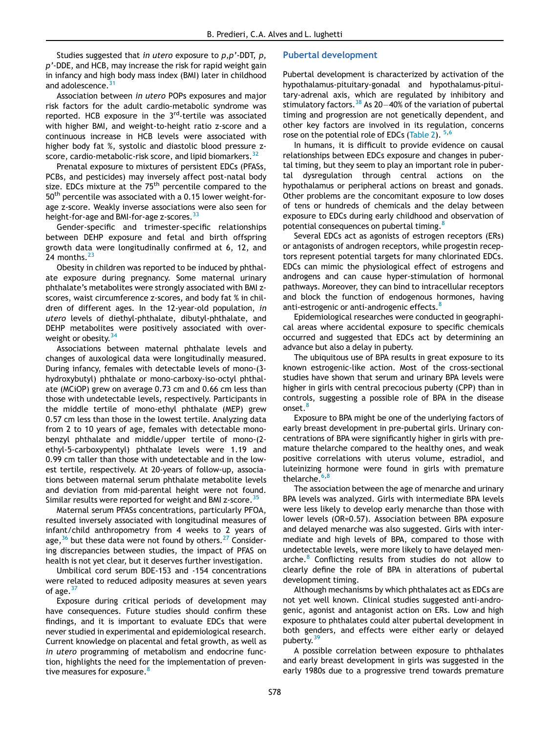Studies suggested that *in utero* exposure to *p,p*'-DDT, *p, p*'-DDE, and HCB, may increase the risk for rapid weight gain in infancy and high body mass index (BMI) later in childhood and adolescence.<sup>3</sup>

Association between *in utero* POPs exposures and major risk factors for the adult cardio-metabolic syndrome was reported. HCB exposure in the  $3<sup>rd</sup>$ -tertile was associated with higher BMI, and weight-to-height ratio z-score and a continuous increase in HCB levels were associated with higher body fat %, systolic and diastolic blood pressure zscore, cardio-metabolic-risk score, and lipid biomarkers.<sup>3</sup>

Prenatal exposure to mixtures of persistent EDCs (PFASs, PCBs, and pesticides) may inversely affect post-natal body size. EDCs mixture at the 75<sup>th</sup> percentile compared to the 50<sup>th</sup> percentile was associated with a 0.15 lower weight-forage z-score. Weakly inverse associations were also seen for height-for-age and BMI-for-age z-scores.<sup>[33](#page-11-20)</sup>

Gender-specific and trimester-specific relationships between DEHP exposure and fetal and birth offspring growth data were longitudinally confirmed at 6, 12, and 24 months. $^{23}$  $^{23}$  $^{23}$ 

Obesity in children was reported to be induced by phthalate exposure during pregnancy. Some maternal urinary phthalate's metabolites were strongly associated with BMI zscores, waist circumference z-scores, and body fat % in children of different ages. In the 12-year-old population, *in utero* levels of diethyl-phthalate, dibutyl-phthalate, and DEHP metabolites were positively associated with overweight or obesity.  $34$ 

Associations between maternal phthalate levels and changes of auxological data were longitudinally measured. During infancy, females with detectable levels of mono-(3 hydroxybutyl) phthalate or mono-carboxy-iso-octyl phthalate (MCiOP) grew on average 0.73 cm and 0.66 cm less than those with undetectable levels, respectively. Participants in the middle tertile of mono-ethyl phthalate (MEP) grew 0.57 cm less than those in the lowest tertile. Analyzing data from 2 to 10 years of age, females with detectable monobenzyl phthalate and middle/upper tertile of mono-(2 ethyl-5-carboxypentyl) phthalate levels were 1.19 and 0.99 cm taller than those with undetectable and in the lowest tertile, respectively. At 20-years of follow-up, associations between maternal serum phthalate metabolite levels and deviation from mid-parental height were not found. Similar results were reported for weight and BMI z-score.<sup>[35](#page-11-22)</sup>

Maternal serum PFASs concentrations, particularly PFOA, resulted inversely associated with longitudinal measures of infant/child anthropometry from 4 weeks to 2 years of age,  $36$  but these data were not found by others.<sup>[27](#page-11-14)</sup> Considering discrepancies between studies, the impact of PFAS on health is not yet clear, but it deserves further investigation.

Umbilical cord serum BDE-153 and -154 concentrations were related to reduced adiposity measures at seven years of age. $37$ 

Exposure during critical periods of development may have consequences. Future studies should confirm these findings, and it is important to evaluate EDCs that were never studied in experimental and epidemiological research. Current knowledge on placental and fetal growth, as well as *in utero* programming of metabolism and endocrine function, highlights the need for the implementation of preven-tive measures for exposure.<sup>[8](#page-10-8)</sup>

## Pubertal development

Pubertal development is characterized by activation of the hypothalamus-pituitary-gonadal and hypothalamus-pituitary-adrenal axis, which are regulated by inhibitory and stimulatory factors.  $38$  As 20-40% of the variation of pubertal timing and progression are not genetically dependent, and other key factors are involved in its regulation, concerns rose on the potential role of EDCs ([Table 2\)](#page-6-0). <sup>[5,](#page-10-7)[6](#page-10-9)</sup>

In humans, it is difficult to provide evidence on causal relationships between EDCs exposure and changes in pubertal timing, but they seem to play an important role in pubertal dysregulation through central actions on the hypothalamus or peripheral actions on breast and gonads. Other problems are the concomitant exposure to low doses of tens or hundreds of chemicals and the delay between exposure to EDCs during early childhood and observation of potential consequences on pubertal timing.<sup>[8](#page-10-8)</sup>

Several EDCs act as agonists of estrogen receptors (ERs) or antagonists of androgen receptors, while progestin receptors represent potential targets for many chlorinated EDCs. EDCs can mimic the physiological effect of estrogens and androgens and can cause hyper-stimulation of hormonal pathways. Moreover, they can bind to intracellular receptors and block the function of endogenous hormones, having anti-estrogenic or anti-androgenic effects.<sup>[8](#page-10-8)</sup>

Epidemiological researches were conducted in geographical areas where accidental exposure to specific chemicals occurred and suggested that EDCs act by determining an advance but also a delay in puberty.

The ubiquitous use of BPA results in great exposure to its known estrogenic-like action. Most of the cross-sectional studies have shown that serum and urinary BPA levels were higher in girls with central precocious puberty (CPP) than in controls, suggesting a possible role of BPA in the disease onset.[8](#page-10-8)

Exposure to BPA might be one of the underlying factors of early breast development in pre-pubertal girls. Urinary concentrations of BPA were significantly higher in girls with premature thelarche compared to the healthy ones, and weak positive correlations with uterus volume, estradiol, and luteinizing hormone were found in girls with premature thelarche.<sup>[6](#page-10-9),[8](#page-10-8)</sup>

The association between the age of menarche and urinary BPA levels was analyzed. Girls with intermediate BPA levels were less likely to develop early menarche than those with lower levels (OR=0.57). Association between BPA exposure and delayed menarche was also suggested. Girls with intermediate and high levels of BPA, compared to those with undetectable levels, were more likely to have delayed men-arche.<sup>[8](#page-10-8)</sup> Conflicting results from studies do not allow to clearly define the role of BPA in alterations of pubertal development timing.

Although mechanisms by which phthalates act as EDCs are not yet well known. Clinical studies suggested anti-androgenic, agonist and antagonist action on ERs. Low and high exposure to phthalates could alter pubertal development in both genders, and effects were either early or delayed puberty.<sup>[39](#page-11-26)</sup>

A possible correlation between exposure to phthalates and early breast development in girls was suggested in the early 1980s due to a progressive trend towards premature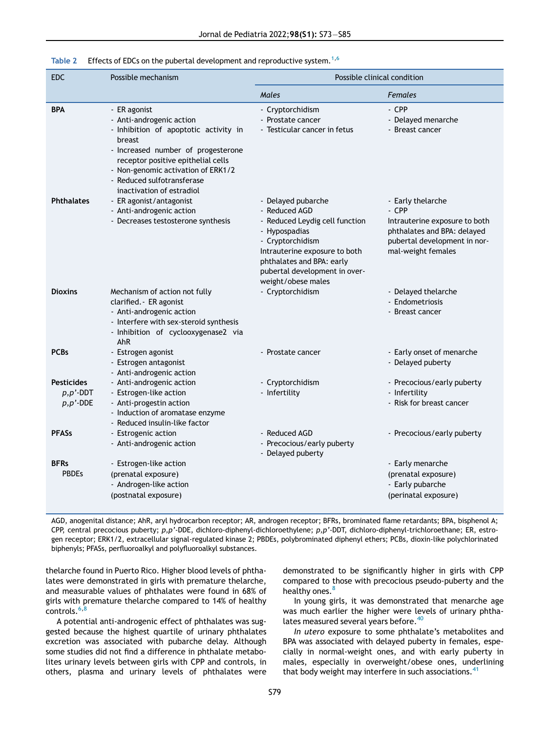#### Table 2 Effects of EDCs on the pubertal development and reproductive system.<sup>[1](#page-10-0)[,6](#page-10-9)</sup>

<span id="page-6-0"></span>

| <b>EDC</b>                                        | Possible mechanism                                                                                                                                                                                                                                                       | Possible clinical condition                                                                                                                                                                                                     |                                                                                                                                                  |  |
|---------------------------------------------------|--------------------------------------------------------------------------------------------------------------------------------------------------------------------------------------------------------------------------------------------------------------------------|---------------------------------------------------------------------------------------------------------------------------------------------------------------------------------------------------------------------------------|--------------------------------------------------------------------------------------------------------------------------------------------------|--|
|                                                   |                                                                                                                                                                                                                                                                          | Males                                                                                                                                                                                                                           | <b>Females</b>                                                                                                                                   |  |
| <b>BPA</b>                                        | - ER agonist<br>- Anti-androgenic action<br>- Inhibition of apoptotic activity in<br>breast<br>- Increased number of progesterone<br>receptor positive epithelial cells<br>- Non-genomic activation of ERK1/2<br>- Reduced sulfotransferase<br>inactivation of estradiol | - Cryptorchidism<br>- Prostate cancer<br>- Testicular cancer in fetus                                                                                                                                                           | - CPP<br>- Delayed menarche<br>- Breast cancer                                                                                                   |  |
| <b>Phthalates</b>                                 | - ER agonist/antagonist<br>- Anti-androgenic action<br>- Decreases testosterone synthesis                                                                                                                                                                                | - Delayed pubarche<br>- Reduced AGD<br>- Reduced Leydig cell function<br>- Hypospadias<br>- Cryptorchidism<br>Intrauterine exposure to both<br>phthalates and BPA: early<br>pubertal development in over-<br>weight/obese males | - Early thelarche<br>- CPP<br>Intrauterine exposure to both<br>phthalates and BPA: delayed<br>pubertal development in nor-<br>mal-weight females |  |
| <b>Dioxins</b>                                    | Mechanism of action not fully<br>clarified. - ER agonist<br>- Anti-androgenic action<br>- Interfere with sex-steroid synthesis<br>- Inhibition of cyclooxygenase2 via<br>AhR                                                                                             | - Cryptorchidism                                                                                                                                                                                                                | - Delayed thelarche<br>- Endometriosis<br>- Breast cancer                                                                                        |  |
| <b>PCBs</b>                                       | - Estrogen agonist<br>- Estrogen antagonist<br>- Anti-androgenic action                                                                                                                                                                                                  | - Prostate cancer                                                                                                                                                                                                               | - Early onset of menarche<br>- Delayed puberty                                                                                                   |  |
| <b>Pesticides</b><br>$p, p'$ -DDT<br>$p, p'$ -DDE | - Anti-androgenic action<br>- Estrogen-like action<br>- Anti-progestin action<br>- Induction of aromatase enzyme<br>- Reduced insulin-like factor                                                                                                                        | - Cryptorchidism<br>- Infertility                                                                                                                                                                                               | - Precocious/early puberty<br>- Infertility<br>- Risk for breast cancer                                                                          |  |
| <b>PFASs</b>                                      | - Estrogenic action<br>- Anti-androgenic action                                                                                                                                                                                                                          | - Reduced AGD<br>- Precocious/early puberty<br>- Delayed puberty                                                                                                                                                                | - Precocious/early puberty                                                                                                                       |  |
| <b>BFRs</b><br><b>PBDEs</b>                       | - Estrogen-like action<br>(prenatal exposure)<br>- Androgen-like action<br>(postnatal exposure)                                                                                                                                                                          |                                                                                                                                                                                                                                 | - Early menarche<br>(prenatal exposure)<br>- Early pubarche<br>(perinatal exposure)                                                              |  |

AGD, anogenital distance; AhR, aryl hydrocarbon receptor; AR, androgen receptor; BFRs, brominated flame retardants; BPA, bisphenol A; CPP, central precocious puberty; *p,p*'-DDE, dichloro-diphenyl-dichloroethylene; *p,p*'-DDT, dichloro-diphenyl-trichloroethane; ER, estrogen receptor; ERK1/2, extracellular signal-regulated kinase 2; PBDEs, polybrominated diphenyl ethers; PCBs, dioxin-like polychlorinated biphenyls; PFASs, perfluoroalkyl and polyfluoroalkyl substances.

thelarche found in Puerto Rico. Higher blood levels of phthalates were demonstrated in girls with premature thelarche, and measurable values of phthalates were found in 68% of girls with premature thelarche compared to 14% of healthy controls.<sup>[6](#page-10-9),[8](#page-10-8)</sup>

A potential anti-androgenic effect of phthalates was suggested because the highest quartile of urinary phthalates excretion was associated with pubarche delay. Although some studies did not find a difference in phthalate metabolites urinary levels between girls with CPP and controls, in others, plasma and urinary levels of phthalates were demonstrated to be significantly higher in girls with CPP compared to those with precocious pseudo-puberty and the healthy ones.<sup>[8](#page-10-8)</sup>

In young girls, it was demonstrated that menarche age was much earlier the higher were levels of urinary phtha-lates measured several years before.<sup>[40](#page-11-27)</sup>

*In utero* exposure to some phthalate's metabolites and BPA was associated with delayed puberty in females, especially in normal-weight ones, and with early puberty in males, especially in overweight/obese ones, underlining that body weight may interfere in such associations.<sup>[41](#page-11-28)</sup>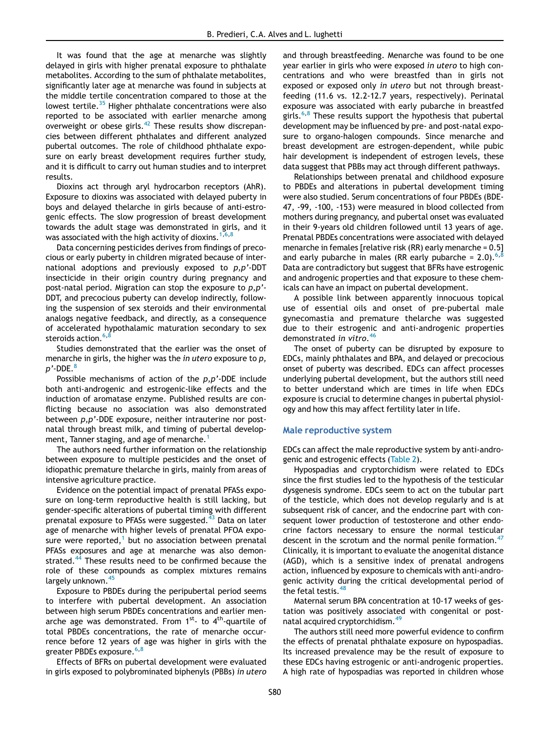It was found that the age at menarche was slightly delayed in girls with higher prenatal exposure to phthalate metabolites. According to the sum of phthalate metabolites, significantly later age at menarche was found in subjects at the middle tertile concentration compared to those at the lowest tertile.<sup>[35](#page-11-22)</sup> Higher phthalate concentrations were also reported to be associated with earlier menarche among overweight or obese girls.[42](#page-11-29) These results show discrepancies between different phthalates and different analyzed pubertal outcomes. The role of childhood phthalate exposure on early breast development requires further study, and it is difficult to carry out human studies and to interpret results.

Dioxins act through aryl hydrocarbon receptors (AhR). Exposure to dioxins was associated with delayed puberty in boys and delayed thelarche in girls because of anti-estrogenic effects. The slow progression of breast development towards the adult stage was demonstrated in girls, and it was associated with the high activity of dioxins.<sup>[1](#page-10-0)[,6](#page-10-9)[,8](#page-10-8)</sup>

Data concerning pesticides derives from findings of precocious or early puberty in children migrated because of international adoptions and previously exposed to *p,p*'-DDT insecticide in their origin country during pregnancy and post-natal period. Migration can stop the exposure to *p,p*'- DDT, and precocious puberty can develop indirectly, following the suspension of sex steroids and their environmental analogs negative feedback, and directly, as a consequence of accelerated hypothalamic maturation secondary to sex steroids action.<sup>[6](#page-10-9),[8](#page-10-8)</sup>

Studies demonstrated that the earlier was the onset of menarche in girls, the higher was the *in utero* exposure to *p, p*'-DDE.<sup>[8](#page-10-8)</sup>

Possible mechanisms of action of the *p,p*'-DDE include both anti-androgenic and estrogenic-like effects and the induction of aromatase enzyme. Published results are conflicting because no association was also demonstrated between *p,p*'-DDE exposure, neither intrauterine nor postnatal through breast milk, and timing of pubertal develop-ment, Tanner staging, and age of menarche.<sup>[1](#page-10-0)</sup>

The authors need further information on the relationship between exposure to multiple pesticides and the onset of idiopathic premature thelarche in girls, mainly from areas of intensive agriculture practice.

Evidence on the potential impact of prenatal PFASs exposure on long-term reproductive health is still lacking, but gender-specific alterations of pubertal timing with different prenatal exposure to PFASs were suggested.<sup>[43](#page-11-30)</sup> Data on later age of menarche with higher levels of prenatal PFOA exposure were reported, $1$  but no association between prenatal PFASs exposures and age at menarche was also demonstrated. $44$  These results need to be confirmed because the role of these compounds as complex mixtures remains largely unknown.<sup>[45](#page-11-32)</sup>

Exposure to PBDEs during the peripubertal period seems to interfere with pubertal development. An association between high serum PBDEs concentrations and earlier menarche age was demonstrated. From  $1^{st}$ - to  $4^{th}$ -quartile of total PBDEs concentrations, the rate of menarche occurrence before 12 years of age was higher in girls with the greater PBDEs exposure.<sup>[6](#page-10-9),[8](#page-10-8)</sup>

Effects of BFRs on pubertal development were evaluated in girls exposed to polybrominated biphenyls (PBBs) *in utero* and through breastfeeding. Menarche was found to be one year earlier in girls who were exposed *in utero* to high concentrations and who were breastfed than in girls not exposed or exposed only *in utero* but not through breastfeeding (11.6 vs. 12.2-12.7 years, respectively). Perinatal exposure was associated with early pubarche in breastfed girls.<sup>[6](#page-10-9)[,8](#page-10-8)</sup> These results support the hypothesis that pubertal development may be influenced by pre- and post-natal exposure to organo-halogen compounds. Since menarche and breast development are estrogen-dependent, while pubic hair development is independent of estrogen levels, these data suggest that PBBs may act through different pathways.

Relationships between prenatal and childhood exposure to PBDEs and alterations in pubertal development timing were also studied. Serum concentrations of four PBDEs (BDE-47, -99, -100, -153) were measured in blood collected from mothers during pregnancy, and pubertal onset was evaluated in their 9-years old children followed until 13 years of age. Prenatal PBDEs concentrations were associated with delayed menarche in females [relative risk (RR) early menarche = 0.5] and early pubarche in males (RR early pubarche =  $2.0$ ).<sup>[6,](#page-10-9)[8](#page-10-8)</sup> Data are contradictory but suggest that BFRs have estrogenic and androgenic properties and that exposure to these chemicals can have an impact on pubertal development.

A possible link between apparently innocuous topical use of essential oils and onset of pre-pubertal male gynecomastia and premature thelarche was suggested due to their estrogenic and anti-androgenic properties demonstrated *in vitro*. [46](#page-12-0)

The onset of puberty can be disrupted by exposure to EDCs, mainly phthalates and BPA, and delayed or precocious onset of puberty was described. EDCs can affect processes underlying pubertal development, but the authors still need to better understand which are times in life when EDCs exposure is crucial to determine changes in pubertal physiology and how this may affect fertility later in life.

#### Male reproductive system

EDCs can affect the male reproductive system by anti-androgenic and estrogenic effects [\(Table 2](#page-6-0)).

Hypospadias and cryptorchidism were related to EDCs since the first studies led to the hypothesis of the testicular dysgenesis syndrome. EDCs seem to act on the tubular part of the testicle, which does not develop regularly and is at subsequent risk of cancer, and the endocrine part with consequent lower production of testosterone and other endocrine factors necessary to ensure the normal testicular descent in the scrotum and the normal penile formation.<sup>[47](#page-12-1)</sup> Clinically, it is important to evaluate the anogenital distance (AGD), which is a sensitive index of prenatal androgens action, influenced by exposure to chemicals with anti-androgenic activity during the critical developmental period of the fetal testis.<sup>4</sup>

Maternal serum BPA concentration at 10-17 weeks of gestation was positively associated with congenital or post-natal acquired cryptorchidism.<sup>[49](#page-12-3)</sup>

The authors still need more powerful evidence to confirm the effects of prenatal phthalate exposure on hypospadias. Its increased prevalence may be the result of exposure to these EDCs having estrogenic or anti-androgenic properties. A high rate of hypospadias was reported in children whose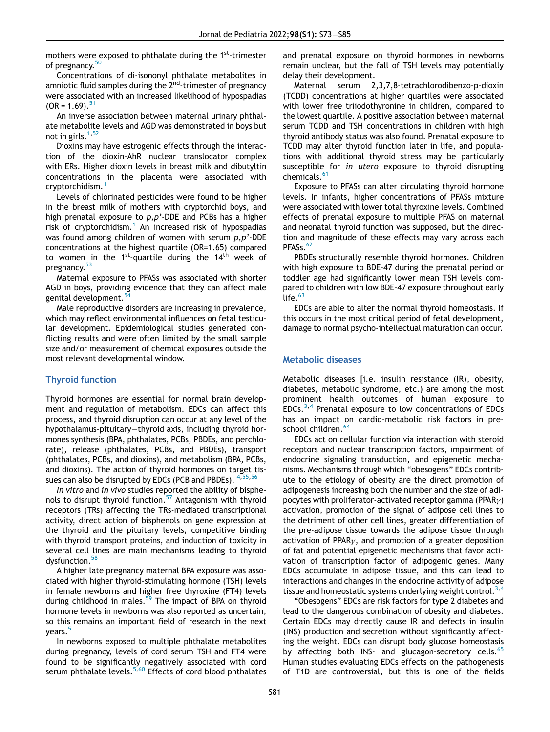mothers were exposed to phthalate during the 1<sup>st</sup>-trimester of pregnancy.<sup>[50](#page-12-4)</sup>

Concentrations of di-isononyl phthalate metabolites in amniotic fluid samples during the  $2<sup>nd</sup>$ -trimester of pregnancy were associated with an increased likelihood of hypospadias  $(OR = 1.69).$ <sup>[51](#page-12-5)</sup>

An inverse association between maternal urinary phthalate metabolite levels and AGD was demonstrated in boys but not in girls. $1,52$  $1,52$ 

Dioxins may have estrogenic effects through the interaction of the dioxin-AhR nuclear translocator complex with ERs. Higher dioxin levels in breast milk and dibutyltin concentrations in the placenta were associated with cryptorchidism.[1](#page-10-0)

Levels of chlorinated pesticides were found to be higher in the breast milk of mothers with cryptorchid boys, and high prenatal exposure to *p,p*'-DDE and PCBs has a higher risk of cryptorchidism.<sup>[1](#page-10-0)</sup> An increased risk of hypospadias was found among children of women with serum *p,p*'-DDE concentrations at the highest quartile (OR=1.65) compared to women in the  $1^{st}$ -quartile during the  $14^{th}$  week of pregnancy.<sup>[53](#page-12-7)</sup>

Maternal exposure to PFASs was associated with shorter AGD in boys, providing evidence that they can affect male genital development.

Male reproductive disorders are increasing in prevalence, which may reflect environmental influences on fetal testicular development. Epidemiological studies generated conflicting results and were often limited by the small sample size and/or measurement of chemical exposures outside the most relevant developmental window.

#### Thyroid function

Thyroid hormones are essential for normal brain development and regulation of metabolism. EDCs can affect this process, and thyroid disruption can occur at any level of the hypothalamus-pituitary-thyroid axis, including thyroid hormones synthesis (BPA, phthalates, PCBs, PBDEs, and perchlorate), release (phthalates, PCBs, and PBDEs), transport (phthalates, PCBs, and dioxins), and metabolism (BPA, PCBs, and dioxins). The action of thyroid hormones on target tissues can also be disrupted by EDCs (PCB and PBDEs).  $4,55,56$  $4,55,56$  $4,55,56$  $4,55,56$ 

*In vitro* and *in vivo* studies reported the ability of bisphe-nols to disrupt thyroid function.<sup>[57](#page-12-11)</sup> Antagonism with thyroid receptors (TRs) affecting the TRs-mediated transcriptional activity, direct action of bisphenols on gene expression at the thyroid and the pituitary levels, competitive binding with thyroid transport proteins, and induction of toxicity in several cell lines are main mechanisms leading to thyroid dysfunction.<sup>[58](#page-12-12)</sup>

A higher late pregnancy maternal BPA exposure was associated with higher thyroid-stimulating hormone (TSH) levels in female newborns and higher free thyroxine (FT4) levels during childhood in males.<sup>[59](#page-12-13)</sup> The impact of BPA on thyroid hormone levels in newborns was also reported as uncertain, so this remains an important field of research in the next years.<sup>[5](#page-10-7)</sup>

In newborns exposed to multiple phthalate metabolites during pregnancy, levels of cord serum TSH and FT4 were found to be significantly negatively associated with cord serum phthalate levels. $5,60$  $5,60$  Effects of cord blood phthalates and prenatal exposure on thyroid hormones in newborns remain unclear, but the fall of TSH levels may potentially delay their development.

Maternal serum 2,3,7,8-tetrachlorodibenzo-p-dioxin (TCDD) concentrations at higher quartiles were associated with lower free triiodothyronine in children, compared to the lowest quartile. A positive association between maternal serum TCDD and TSH concentrations in children with high thyroid antibody status was also found. Prenatal exposure to TCDD may alter thyroid function later in life, and populations with additional thyroid stress may be particularly susceptible for *in utero* exposure to thyroid disrupting chemicals.<sup>[61](#page-12-15)</sup>

Exposure to PFASs can alter circulating thyroid hormone levels. In infants, higher concentrations of PFASs mixture were associated with lower total thyroxine levels. Combined effects of prenatal exposure to multiple PFAS on maternal and neonatal thyroid function was supposed, but the direction and magnitude of these effects may vary across each PFASs.<sup>[62](#page-12-16)</sup>

PBDEs structurally resemble thyroid hormones. Children with high exposure to BDE-47 during the prenatal period or toddler age had significantly lower mean TSH levels compared to children with low BDE-47 exposure throughout early life. $63$ 

EDCs are able to alter the normal thyroid homeostasis. If this occurs in the most critical period of fetal development, damage to normal psycho-intellectual maturation can occur.

#### Metabolic diseases

Metabolic diseases [i.e. insulin resistance (IR), obesity, diabetes, metabolic syndrome, etc.) are among the most prominent health outcomes of human exposure to EDCs.<sup>[3](#page-10-2),[4](#page-10-6)</sup> Prenatal exposure to low concentrations of EDCs has an impact on cardio-metabolic risk factors in pre-school children.<sup>[64](#page-12-18)</sup>

EDCs act on cellular function via interaction with steroid receptors and nuclear transcription factors, impairment of endocrine signaling transduction, and epigenetic mechanisms. Mechanisms through which "obesogens" EDCs contribute to the etiology of obesity are the direct promotion of adipogenesis increasing both the number and the size of adipocytes with proliferator-activated receptor gamma (PPAR $\nu$ ) activation, promotion of the signal of adipose cell lines to the detriment of other cell lines, greater differentiation of the pre-adipose tissue towards the adipose tissue through activation of PPAR $\gamma$ , and promotion of a greater deposition of fat and potential epigenetic mechanisms that favor activation of transcription factor of adipogenic genes. Many EDCs accumulate in adipose tissue, and this can lead to interactions and changes in the endocrine activity of adipose tissue and homeostatic systems underlying weight control.<sup>[3,](#page-10-2)[4](#page-10-6)</sup>

"Obesogens" EDCs are risk factors for type 2 diabetes and lead to the dangerous combination of obesity and diabetes. Certain EDCs may directly cause IR and defects in insulin (INS) production and secretion without significantly affecting the weight. EDCs can disrupt body glucose homeostasis by affecting both INS- and glucagon-secretory cells.<sup>[65](#page-12-19)</sup> Human studies evaluating EDCs effects on the pathogenesis of T1D are controversial, but this is one of the fields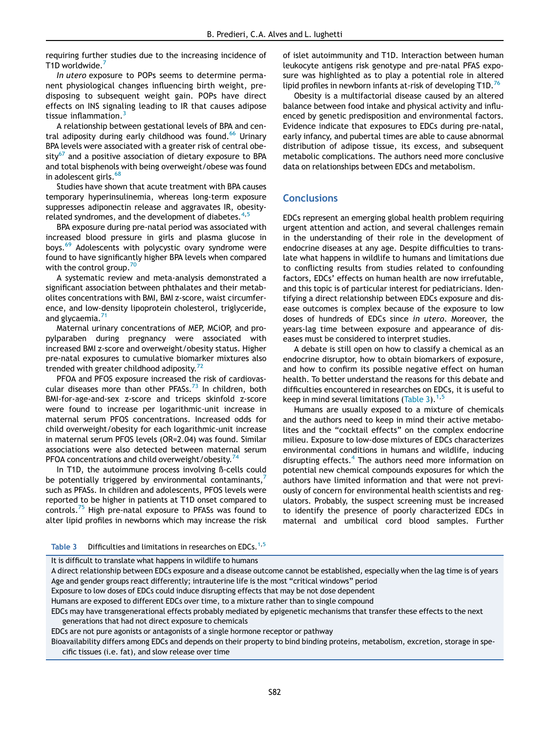requiring further studies due to the increasing incidence of T1D worldwide.

*In utero* exposure to POPs seems to determine permanent physiological changes influencing birth weight, predisposing to subsequent weight gain. POPs have direct effects on INS signaling leading to IR that causes adipose tissue inflammation. $3$ 

A relationship between gestational levels of BPA and cen-tral adiposity during early childhood was found.<sup>[66](#page-12-20)</sup> Urinary BPA levels were associated with a greater risk of central obe- $sity<sup>67</sup>$  $sity<sup>67</sup>$  $sity<sup>67</sup>$  and a positive association of dietary exposure to BPA and total bisphenols with being overweight/obese was found in adolescent girls.<sup>[68](#page-12-22)</sup>

Studies have shown that acute treatment with BPA causes temporary hyperinsulinemia, whereas long-term exposure suppresses adiponectin release and aggravates IR, obesityrelated syndromes, and the development of diabetes.  $4,5$  $4,5$ 

BPA exposure during pre-natal period was associated with increased blood pressure in girls and plasma glucose in boys.<sup>[69](#page-12-23)</sup> Adolescents with polycystic ovary syndrome were found to have significantly higher BPA levels when compared with the control group.<sup>[70](#page-12-24)</sup>

A systematic review and meta-analysis demonstrated a significant association between phthalates and their metabolites concentrations with BMI, BMI z-score, waist circumference, and low-density lipoprotein cholesterol, triglyceride, and glycaemia.<sup>7</sup>

Maternal urinary concentrations of MEP, MCiOP, and propylparaben during pregnancy were associated with increased BMI z-score and overweight/obesity status. Higher pre-natal exposures to cumulative biomarker mixtures also trended with greater childhood adiposity. $72$ 

PFOA and PFOS exposure increased the risk of cardiovascular diseases more than other PFASs. $^{73}$  $^{73}$  $^{73}$  In children, both BMI-for-age-and-sex z-score and triceps skinfold z-score were found to increase per logarithmic-unit increase in maternal serum PFOS concentrations. Increased odds for child overweight/obesity for each logarithmic-unit increase in maternal serum PFOS levels (OR=2.04) was found. Similar associations were also detected between maternal serum PFOA concentrations and child overweight/obesity.<sup>[74](#page-12-28)</sup>

In T1D, the autoimmune process involving ß-cells could be potentially triggered by environmental contaminants, such as PFASs. In children and adolescents, PFOS levels were reported to be higher in patients at T1D onset compared to controls.<sup>[75](#page-12-29)</sup> High pre-natal exposure to PFASs was found to alter lipid profiles in newborns which may increase the risk of islet autoimmunity and T1D. Interaction between human leukocyte antigens risk genotype and pre-natal PFAS exposure was highlighted as to play a potential role in altered lipid profiles in newborn infants at-risk of developing  $T1D<sup>76</sup>$  $T1D<sup>76</sup>$  $T1D<sup>76</sup>$ 

Obesity is a multifactorial disease caused by an altered balance between food intake and physical activity and influenced by genetic predisposition and environmental factors. Evidence indicate that exposures to EDCs during pre-natal, early infancy, and pubertal times are able to cause abnormal distribution of adipose tissue, its excess, and subsequent metabolic complications. The authors need more conclusive data on relationships between EDCs and metabolism.

## **Conclusions**

EDCs represent an emerging global health problem requiring urgent attention and action, and several challenges remain in the understanding of their role in the development of endocrine diseases at any age. Despite difficulties to translate what happens in wildlife to humans and limitations due to conflicting results from studies related to confounding factors, EDCs' effects on human health are now irrefutable, and this topic is of particular interest for pediatricians. Identifying a direct relationship between EDCs exposure and disease outcomes is complex because of the exposure to low doses of hundreds of EDCs since *in utero*. Moreover, the years-lag time between exposure and appearance of diseases must be considered to interpret studies.

A debate is still open on how to classify a chemical as an endocrine disruptor, how to obtain biomarkers of exposure, and how to confirm its possible negative effect on human health. To better understand the reasons for this debate and difficulties encountered in researches on EDCs, it is useful to keep in mind several limitations ([Table 3\)](#page-9-0).<sup>[1](#page-10-0)[,5](#page-10-7)</sup>

Humans are usually exposed to a mixture of chemicals and the authors need to keep in mind their active metabolites and the "cocktail effects" on the complex endocrine milieu. Exposure to low-dose mixtures of EDCs characterizes environmental conditions in humans and wildlife, inducing disrupting effects.<sup>[4](#page-10-6)</sup> The authors need more information on potential new chemical compounds exposures for which the authors have limited information and that were not previously of concern for environmental health scientists and regulators. Probably, the suspect screening must be increased to identify the presence of poorly characterized EDCs in maternal and umbilical cord blood samples. Further

<span id="page-9-0"></span>

| Table 3 | Difficulties and limitations in researches on EDCs. <sup>1,5</sup> |
|---------|--------------------------------------------------------------------|
|---------|--------------------------------------------------------------------|

It is difficult to translate what happens in wildlife to humans

A direct relationship between EDCs exposure and a disease outcome cannot be established, especially when the lag time is of years Age and gender groups react differently; intrauterine life is the most "critical windows" period Exposure to low doses of EDCs could induce disrupting effects that may be not dose dependent Humans are exposed to different EDCs over time, to a mixture rather than to single compound EDCs may have transgenerational effects probably mediated by epigenetic mechanisms that transfer these effects to the next generations that had not direct exposure to chemicals

EDCs are not pure agonists or antagonists of a single hormone receptor or pathway

Bioavailability differs among EDCs and depends on their property to bind binding proteins, metabolism, excretion, storage in specific tissues (i.e. fat), and slow release over time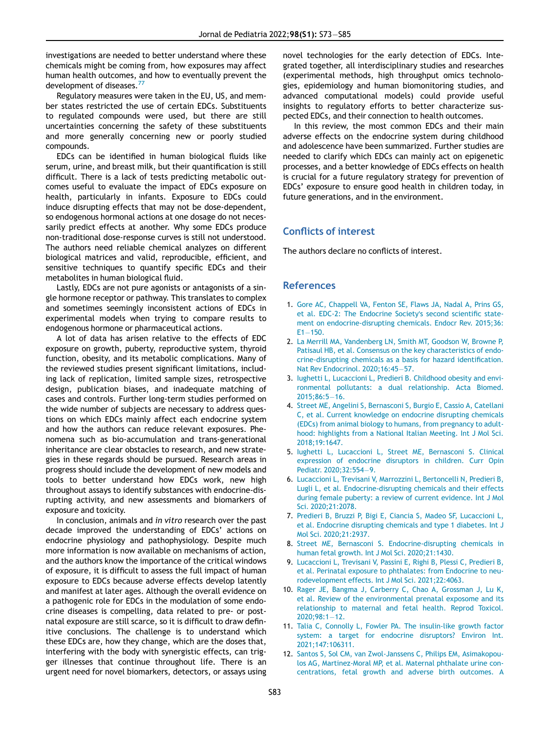investigations are needed to better understand where these chemicals might be coming from, how exposures may affect human health outcomes, and how to eventually prevent the development of diseases.<sup>[77](#page-12-31)</sup>

Regulatory measures were taken in the EU, US, and member states restricted the use of certain EDCs. Substituents to regulated compounds were used, but there are still uncertainties concerning the safety of these substituents and more generally concerning new or poorly studied compounds.

EDCs can be identified in human biological fluids like serum, urine, and breast milk, but their quantification is still difficult. There is a lack of tests predicting metabolic outcomes useful to evaluate the impact of EDCs exposure on health, particularly in infants. Exposure to EDCs could induce disrupting effects that may not be dose-dependent, so endogenous hormonal actions at one dosage do not necessarily predict effects at another. Why some EDCs produce non-traditional dose-response curves is still not understood. The authors need reliable chemical analyzes on different biological matrices and valid, reproducible, efficient, and sensitive techniques to quantify specific EDCs and their metabolites in human biological fluid.

<span id="page-10-0"></span>Lastly, EDCs are not pure agonists or antagonists of a single hormone receptor or pathway. This translates to complex and sometimes seemingly inconsistent actions of EDCs in experimental models when trying to compare results to endogenous hormone or pharmaceutical actions.

<span id="page-10-6"></span><span id="page-10-2"></span><span id="page-10-1"></span>A lot of data has arisen relative to the effects of EDC exposure on growth, puberty, reproductive system, thyroid function, obesity, and its metabolic complications. Many of the reviewed studies present significant limitations, including lack of replication, limited sample sizes, retrospective design, publication biases, and inadequate matching of cases and controls. Further long-term studies performed on the wide number of subjects are necessary to address questions on which EDCs mainly affect each endocrine system and how the authors can reduce relevant exposures. Phenomena such as bio-accumulation and trans-generational inheritance are clear obstacles to research, and new strategies in these regards should be pursued. Research areas in progress should include the development of new models and tools to better understand how EDCs work, new high throughout assays to identify substances with endocrine-disrupting activity, and new assessments and biomarkers of exposure and toxicity.

<span id="page-10-10"></span><span id="page-10-9"></span><span id="page-10-8"></span><span id="page-10-7"></span><span id="page-10-5"></span><span id="page-10-4"></span><span id="page-10-3"></span>In conclusion, animals and *in vitro* research over the past decade improved the understanding of EDCs' actions on endocrine physiology and pathophysiology. Despite much more information is now available on mechanisms of action, and the authors know the importance of the critical windows of exposure, it is difficult to assess the full impact of human exposure to EDCs because adverse effects develop latently and manifest at later ages. Although the overall evidence on a pathogenic role for EDCs in the modulation of some endocrine diseases is compelling, data related to pre- or postnatal exposure are still scarce, so it is difficult to draw definitive conclusions. The challenge is to understand which these EDCs are, how they change, which are the doses that, interfering with the body with synergistic effects, can trigger illnesses that continue throughout life. There is an urgent need for novel biomarkers, detectors, or assays using novel technologies for the early detection of EDCs. Integrated together, all interdisciplinary studies and researches (experimental methods, high throughput omics technologies, epidemiology and human biomonitoring studies, and advanced computational models) could provide useful insights to regulatory efforts to better characterize suspected EDCs, and their connection to health outcomes.

In this review, the most common EDCs and their main adverse effects on the endocrine system during childhood and adolescence have been summarized. Further studies are needed to clarify which EDCs can mainly act on epigenetic processes, and a better knowledge of EDCs effects on health is crucial for a future regulatory strategy for prevention of EDCs' exposure to ensure good health in children today, in future generations, and in the environment.

## Conflicts of interest

The authors declare no conflicts of interest.

## References

- 1. [Gore AC, Chappell VA, Fenton SE, Flaws JA, Nadal A, Prins GS,](http://refhub.elsevier.com/S0021-7557(21)00163-7/sbref0001) [et al. EDC-2: The Endocrine Society](http://refhub.elsevier.com/S0021-7557(21)00163-7/sbref0001)'s second scientific state[ment on endocrine-disrupting chemicals. Endocr Rev. 2015;36:](http://refhub.elsevier.com/S0021-7557(21)00163-7/sbref0001)  $E1 - 150.$  $E1 - 150.$  $E1 - 150.$
- 2. [La Merrill MA, Vandenberg LN, Smith MT, Goodson W, Browne P,](http://refhub.elsevier.com/S0021-7557(21)00163-7/sbref0002) [Patisaul HB, et al. Consensus on the key characteristics of endo](http://refhub.elsevier.com/S0021-7557(21)00163-7/sbref0002)[crine-disrupting chemicals as a basis for hazard identi](http://refhub.elsevier.com/S0021-7557(21)00163-7/sbref0002)fication. [Nat Rev Endocrinol. 2020;16:45](http://refhub.elsevier.com/S0021-7557(21)00163-7/sbref0002)-[57.](http://refhub.elsevier.com/S0021-7557(21)00163-7/sbref0002)
- 3. [Iughetti L, Lucaccioni L, Predieri B. Childhood obesity and envi](http://refhub.elsevier.com/S0021-7557(21)00163-7/sbref0003)[ronmental pollutants: a dual relationship. Acta Biomed.](http://refhub.elsevier.com/S0021-7557(21)00163-7/sbref0003)  $2015;86:5-16.$  $2015;86:5-16.$  $2015;86:5-16.$
- 4. [Street ME, Angelini S, Bernasconi S, Burgio E, Cassio A, Catellani](http://refhub.elsevier.com/S0021-7557(21)00163-7/sbref0004) [C, et al. Current knowledge on endocrine disrupting chemicals](http://refhub.elsevier.com/S0021-7557(21)00163-7/sbref0004) [\(EDCs\) from animal biology to humans, from pregnancy to adult](http://refhub.elsevier.com/S0021-7557(21)00163-7/sbref0004)[hood: highlights from a National Italian Meeting. Int J Mol Sci.](http://refhub.elsevier.com/S0021-7557(21)00163-7/sbref0004) [2018;19:1647.](http://refhub.elsevier.com/S0021-7557(21)00163-7/sbref0004)
- 5. [Iughetti L, Lucaccioni L, Street ME, Bernasconi S. Clinical](http://refhub.elsevier.com/S0021-7557(21)00163-7/sbref0005) [expression of endocrine disruptors in children. Curr Opin](http://refhub.elsevier.com/S0021-7557(21)00163-7/sbref0005) [Pediatr. 2020;32:554](http://refhub.elsevier.com/S0021-7557(21)00163-7/sbref0005)-[9.](http://refhub.elsevier.com/S0021-7557(21)00163-7/sbref0005)
- 6. [Lucaccioni L, Trevisani V, Marrozzini L, Bertoncelli N, Predieri B,](http://refhub.elsevier.com/S0021-7557(21)00163-7/sbref0006) [Lugli L, et al. Endocrine-disrupting chemicals and their effects](http://refhub.elsevier.com/S0021-7557(21)00163-7/sbref0006) [during female puberty: a review of current evidence. Int J Mol](http://refhub.elsevier.com/S0021-7557(21)00163-7/sbref0006) [Sci. 2020;21:2078.](http://refhub.elsevier.com/S0021-7557(21)00163-7/sbref0006)
- 7. [Predieri B, Bruzzi P, Bigi E, Ciancia S, Madeo SF, Lucaccioni L,](http://refhub.elsevier.com/S0021-7557(21)00163-7/sbref0007) [et al. Endocrine disrupting chemicals and type 1 diabetes. Int J](http://refhub.elsevier.com/S0021-7557(21)00163-7/sbref0007) [Mol Sci. 2020;21:2937.](http://refhub.elsevier.com/S0021-7557(21)00163-7/sbref0007)
- 8. [Street ME, Bernasconi S. Endocrine-disrupting chemicals in](http://refhub.elsevier.com/S0021-7557(21)00163-7/sbref0008) [human fetal growth. Int J Mol Sci. 2020;21:1430.](http://refhub.elsevier.com/S0021-7557(21)00163-7/sbref0008)
- 9. [Lucaccioni L, Trevisani V, Passini E, Righi B, Plessi C, Predieri B,](http://refhub.elsevier.com/S0021-7557(21)00163-7/sbref0009) [et al. Perinatal exposure to phthalates: from Endocrine to neu](http://refhub.elsevier.com/S0021-7557(21)00163-7/sbref0009)[rodevelopment effects. Int J Mol Sci. 2021;22:4063.](http://refhub.elsevier.com/S0021-7557(21)00163-7/sbref0009)
- 10. [Rager JE, Bangma J, Carberry C, Chao A, Grossman J, Lu K,](http://refhub.elsevier.com/S0021-7557(21)00163-7/sbref0010) [et al. Review of the environmental prenatal exposome and its](http://refhub.elsevier.com/S0021-7557(21)00163-7/sbref0010) [relationship to maternal and fetal health. Reprod Toxicol.](http://refhub.elsevier.com/S0021-7557(21)00163-7/sbref0010)  $2020:98:1-12.$  $2020:98:1-12.$
- 11. [Talia C, Connolly L, Fowler PA. The insulin-like growth factor](http://refhub.elsevier.com/S0021-7557(21)00163-7/sbref0011) [system: a target for endocrine disruptors? Environ Int.](http://refhub.elsevier.com/S0021-7557(21)00163-7/sbref0011) [2021;147:106311.](http://refhub.elsevier.com/S0021-7557(21)00163-7/sbref0011)
- 12. [Santos S, Sol CM, van Zwol-Janssens C, Philips EM, Asimakopou](http://refhub.elsevier.com/S0021-7557(21)00163-7/sbref0012)[los AG, Martinez-Moral MP, et al. Maternal phthalate urine con](http://refhub.elsevier.com/S0021-7557(21)00163-7/sbref0012)[centrations, fetal growth and adverse birth outcomes. A](http://refhub.elsevier.com/S0021-7557(21)00163-7/sbref0012)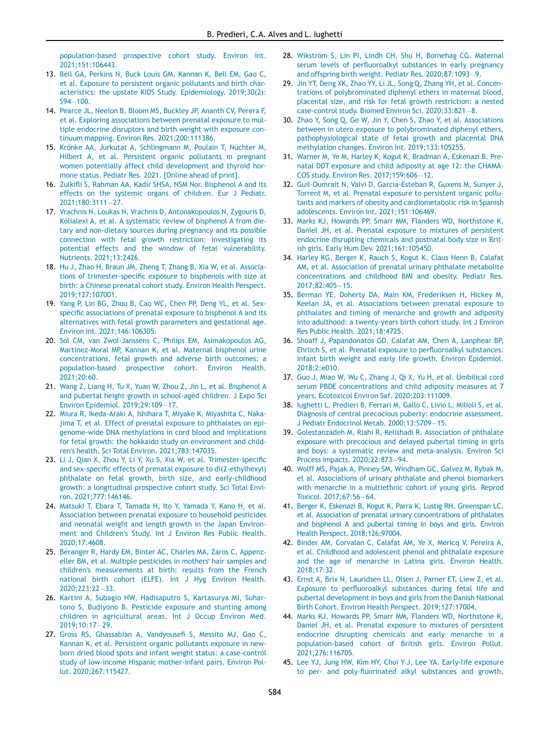[population-based prospective cohort study. Environ Int.](http://refhub.elsevier.com/S0021-7557(21)00163-7/sbref0012) [2021;151:106443.](http://refhub.elsevier.com/S0021-7557(21)00163-7/sbref0012)

- <span id="page-11-16"></span><span id="page-11-15"></span><span id="page-11-0"></span>13. [Bell GA, Perkins N, Buck Louis GM, Kannan K, Bell EM, Gao C,](http://refhub.elsevier.com/S0021-7557(21)00163-7/sbref0013) [et al. Exposure to persistent organic pollutants and birth char](http://refhub.elsevier.com/S0021-7557(21)00163-7/sbref0013)[acteristics: the upstate KIDS Study. Epidemiology. 2019;30\(2\):](http://refhub.elsevier.com/S0021-7557(21)00163-7/sbref0013) [S94](http://refhub.elsevier.com/S0021-7557(21)00163-7/sbref0013)-[100.](http://refhub.elsevier.com/S0021-7557(21)00163-7/sbref0013)
- <span id="page-11-17"></span><span id="page-11-1"></span>14. [Pearce JL, Neelon B, Bloom MS, Buckley JP, Ananth CV, Perera F,](http://refhub.elsevier.com/S0021-7557(21)00163-7/sbref0014) [et al. Exploring associations between prenatal exposure to mul](http://refhub.elsevier.com/S0021-7557(21)00163-7/sbref0014)[tiple endocrine disruptors and birth weight with exposure con](http://refhub.elsevier.com/S0021-7557(21)00163-7/sbref0014)[tinuum mapping. Environ Res. 2021;200:111386.](http://refhub.elsevier.com/S0021-7557(21)00163-7/sbref0014)
- <span id="page-11-18"></span><span id="page-11-2"></span>15. [Kr](http://refhub.elsevier.com/S0021-7557(21)00163-7/sbref0015)ö[nke AA, Jurkutat A, Schlingmann M, Poulain T, N](http://refhub.elsevier.com/S0021-7557(21)00163-7/sbref0015)üchter M, [Hilbert A, et al. Persistent organic pollutants in pregnant](http://refhub.elsevier.com/S0021-7557(21)00163-7/sbref0015) [women potentially affect child development and thyroid hor](http://refhub.elsevier.com/S0021-7557(21)00163-7/sbref0015)[mone status. Pediatr Res. 2021. \[Online ahead of print\].](http://refhub.elsevier.com/S0021-7557(21)00163-7/sbref0015)
- <span id="page-11-19"></span><span id="page-11-3"></span>16. Zulkifl[i S, Rahman AA, Kadir SHSA, NSM Nor. Bisphenol A and its](http://refhub.elsevier.com/S0021-7557(21)00163-7/sbref0016) [effects on the systemic organs of children. Eur J Pediatr.](http://refhub.elsevier.com/S0021-7557(21)00163-7/sbref0016) [2021;180:3111](http://refhub.elsevier.com/S0021-7557(21)00163-7/sbref0016)[27.](http://refhub.elsevier.com/S0021-7557(21)00163-7/sbref0016)
- <span id="page-11-20"></span><span id="page-11-4"></span>17. [Vrachnis N, Loukas N, Vrachnis D, Antonakopoulos N, Zygouris D,](http://refhub.elsevier.com/S0021-7557(21)00163-7/sbref0017) [K](http://refhub.elsevier.com/S0021-7557(21)00163-7/sbref0017)ó[lialexi A, et al. A systematic review of bisphenol A from die](http://refhub.elsevier.com/S0021-7557(21)00163-7/sbref0017) [tary and non-dietary sources during pregnancy and its possible](http://refhub.elsevier.com/S0021-7557(21)00163-7/sbref0017) [connection with fetal growth restriction: investigating its](http://refhub.elsevier.com/S0021-7557(21)00163-7/sbref0017) [potential effects and the window of fetal vulnerability.](http://refhub.elsevier.com/S0021-7557(21)00163-7/sbref0017) [Nutrients. 2021;13:2426.](http://refhub.elsevier.com/S0021-7557(21)00163-7/sbref0017)
- <span id="page-11-21"></span><span id="page-11-5"></span>18. [Hu J, Zhao H, Braun JM, Zheng T, Zhang B, Xia W, et al. Associa](http://refhub.elsevier.com/S0021-7557(21)00163-7/sbref0018)tions of trimester-specifi[c exposure to bisphenols with size at](http://refhub.elsevier.com/S0021-7557(21)00163-7/sbref0018) [birth: a Chinese prenatal cohort study. Environ Health Perspect.](http://refhub.elsevier.com/S0021-7557(21)00163-7/sbref0018) [2019;127:107001.](http://refhub.elsevier.com/S0021-7557(21)00163-7/sbref0018)
- <span id="page-11-22"></span><span id="page-11-6"></span>19. [Yang P, Lin BG, Zhou B, Cao WC, Chen PP, Deng YL, et al. Sex](http://refhub.elsevier.com/S0021-7557(21)00163-7/sbref0019)specifi[c associations of prenatal exposure to bisphenol A and its](http://refhub.elsevier.com/S0021-7557(21)00163-7/sbref0019) [alternatives with fetal growth parameters and gestational age.](http://refhub.elsevier.com/S0021-7557(21)00163-7/sbref0019) [Environ Int. 2021;146:106305.](http://refhub.elsevier.com/S0021-7557(21)00163-7/sbref0019)
- <span id="page-11-23"></span><span id="page-11-7"></span>20. [Sol CM, van Zwol-Janssens C, Philips EM, Asimakopoulos AG,](http://refhub.elsevier.com/S0021-7557(21)00163-7/sbref0020) [Martinez-Moral MP, Kannan K, et al. Maternal bisphenol urine](http://refhub.elsevier.com/S0021-7557(21)00163-7/sbref0020) [concentrations, fetal growth and adverse birth outcomes: a](http://refhub.elsevier.com/S0021-7557(21)00163-7/sbref0020) [population-based prospective cohort. Environ Health.](http://refhub.elsevier.com/S0021-7557(21)00163-7/sbref0020) [2021;20:60.](http://refhub.elsevier.com/S0021-7557(21)00163-7/sbref0020)
- <span id="page-11-24"></span><span id="page-11-8"></span>21. [Wang Z, Liang H, Tu X, Yuan W, Zhou Z, Jin L, et al. Bisphenol A](http://refhub.elsevier.com/S0021-7557(21)00163-7/sbref0021) [and pubertal height growth in school-aged children. J Expo Sci](http://refhub.elsevier.com/S0021-7557(21)00163-7/sbref0021) [Environ Epidemiol. 2019;29:109](http://refhub.elsevier.com/S0021-7557(21)00163-7/sbref0021)-[17.](http://refhub.elsevier.com/S0021-7557(21)00163-7/sbref0021)
- <span id="page-11-26"></span><span id="page-11-25"></span><span id="page-11-9"></span>22. [Miura R, Ikeda-Araki A, Ishihara T, Miyake K, Miyashita C, Naka](http://refhub.elsevier.com/S0021-7557(21)00163-7/sbref0022)[jima T, et al. Effect of prenatal exposure to phthalates on epi](http://refhub.elsevier.com/S0021-7557(21)00163-7/sbref0022)[genome-wide DNA methylations in cord blood and implications](http://refhub.elsevier.com/S0021-7557(21)00163-7/sbref0022) [for fetal growth: the hokkaido study on environment and child](http://refhub.elsevier.com/S0021-7557(21)00163-7/sbref0022)ren'[s health. Sci Total Environ. 2021;783:147035.](http://refhub.elsevier.com/S0021-7557(21)00163-7/sbref0022)
- <span id="page-11-27"></span><span id="page-11-10"></span>23. [Li J, Qian X, Zhou Y, Li Y, Xu S, Xia W, et al. Trimester-speci](http://refhub.elsevier.com/S0021-7557(21)00163-7/sbref0023)fic and sex-specifi[c effects of prenatal exposure to di\(2-ethylhexyl\)](http://refhub.elsevier.com/S0021-7557(21)00163-7/sbref0023) [phthalate on fetal growth, birth size, and early-childhood](http://refhub.elsevier.com/S0021-7557(21)00163-7/sbref0023) [growth: a longitudinal prospective cohort study. Sci Total Envi](http://refhub.elsevier.com/S0021-7557(21)00163-7/sbref0023)[ron. 2021;777:146146.](http://refhub.elsevier.com/S0021-7557(21)00163-7/sbref0023)
- <span id="page-11-28"></span><span id="page-11-11"></span>24. [Matsuki T, Ebara T, Tamada H, Ito Y, Yamada Y, Kano H, et al.](http://refhub.elsevier.com/S0021-7557(21)00163-7/sbref0024) [Association between prenatal exposure to household pesticides](http://refhub.elsevier.com/S0021-7557(21)00163-7/sbref0024) [and neonatal weight and length growth in the Japan Environ](http://refhub.elsevier.com/S0021-7557(21)00163-7/sbref0024)ment and Children'[s Study. Int J Environ Res Public Health.](http://refhub.elsevier.com/S0021-7557(21)00163-7/sbref0024) [2020;17:4608.](http://refhub.elsevier.com/S0021-7557(21)00163-7/sbref0024)
- <span id="page-11-29"></span><span id="page-11-12"></span>25. [B](http://refhub.elsevier.com/S0021-7557(21)00163-7/sbref0025)é[ranger R, Hardy EM, Binter AC, Charles MA, Zaros C, Appenz](http://refhub.elsevier.com/S0021-7557(21)00163-7/sbref0025) [eller BM, et al. Multiple pesticides in mothers](http://refhub.elsevier.com/S0021-7557(21)00163-7/sbref0025)' hair samples and children'[s measurements at birth: results from the French](http://refhub.elsevier.com/S0021-7557(21)00163-7/sbref0025) [national birth cohort \(ELFE\). Int J Hyg Environ Health.](http://refhub.elsevier.com/S0021-7557(21)00163-7/sbref0025) [2020;223:22](http://refhub.elsevier.com/S0021-7557(21)00163-7/sbref0025)-[33.](http://refhub.elsevier.com/S0021-7557(21)00163-7/sbref0025)
- <span id="page-11-31"></span><span id="page-11-30"></span><span id="page-11-13"></span>26. [Kartini A, Subagio HW, Hadisaputro S, Kartasurya MI, Suhar](http://refhub.elsevier.com/S0021-7557(21)00163-7/sbref0026)[tono S, Budiyono B. Pesticide exposure and stunting among](http://refhub.elsevier.com/S0021-7557(21)00163-7/sbref0026) [children in agricultural areas. Int J Occup Environ Med.](http://refhub.elsevier.com/S0021-7557(21)00163-7/sbref0026) [2019;10:17](http://refhub.elsevier.com/S0021-7557(21)00163-7/sbref0026)-[29.](http://refhub.elsevier.com/S0021-7557(21)00163-7/sbref0026)
- <span id="page-11-32"></span><span id="page-11-14"></span>27. [Gross RS, Ghassabian A, Vandyouse](http://refhub.elsevier.com/S0021-7557(21)00163-7/sbref0027)fi S, Messito MJ, Gao C, [Kannan K, et al. Persistent organic pollutants exposure in new](http://refhub.elsevier.com/S0021-7557(21)00163-7/sbref0027)[born dried blood spots and infant weight status: a case-control](http://refhub.elsevier.com/S0021-7557(21)00163-7/sbref0027) [study of low-income Hispanic mother-infant pairs. Environ Pol](http://refhub.elsevier.com/S0021-7557(21)00163-7/sbref0027)[lut. 2020;267:115427.](http://refhub.elsevier.com/S0021-7557(21)00163-7/sbref0027)
- 28. Wikström S, Lin PI, Lindh CH, Shu H, Bornehag CG, Maternal serum levels of perfl[uoroalkyl substances in early pregnancy](http://refhub.elsevier.com/S0021-7557(21)00163-7/sbref0028) [and offspring birth weight. Pediatr Res. 2020;87:1093](http://refhub.elsevier.com/S0021-7557(21)00163-7/sbref0028)-[9.](http://refhub.elsevier.com/S0021-7557(21)00163-7/sbref0028)
- 29. [Jin YT, Deng XK, Zhao YY, Li JL, Song Q, Zhang YH, et al. Concen](http://refhub.elsevier.com/S0021-7557(21)00163-7/sbref0029)[trations of polybrominated diphenyl ethers in maternal blood,](http://refhub.elsevier.com/S0021-7557(21)00163-7/sbref0029) [placental size, and risk for fetal growth restriction: a nested](http://refhub.elsevier.com/S0021-7557(21)00163-7/sbref0029) case-control study. Biomed Environ Sci.  $2020;33:821-8$ .
- 30. [Zhao Y, Song Q, Ge W, Jin Y, Chen S, Zhao Y, et al. Associations](http://refhub.elsevier.com/S0021-7557(21)00163-7/sbref0030) [between in utero exposure to polybrominated diphenyl ethers,](http://refhub.elsevier.com/S0021-7557(21)00163-7/sbref0030) [pathophysiological state of fetal growth and placental DNA](http://refhub.elsevier.com/S0021-7557(21)00163-7/sbref0030) [methylation changes. Environ Int. 2019;133:105255.](http://refhub.elsevier.com/S0021-7557(21)00163-7/sbref0030)
- 31. [Warner M, Ye M, Harley K, Kogut K, Bradman A, Eskenazi B. Pre](http://refhub.elsevier.com/S0021-7557(21)00163-7/sbref0031)[natal DDT exposure and child adiposity at age 12: the CHAMA-](http://refhub.elsevier.com/S0021-7557(21)00163-7/sbref0031)[COS study. Environ Res. 2017;159:606](http://refhub.elsevier.com/S0021-7557(21)00163-7/sbref0031)-[12.](http://refhub.elsevier.com/S0021-7557(21)00163-7/sbref0031)
- 32. Güil-Oumrait N, Valvi D, Garcia-Esteban R, Guxens M, Sunyer J, [Torrent M, et al. Prenatal exposure to persistent organic pollu](http://refhub.elsevier.com/S0021-7557(21)00163-7/sbref0032)[tants and markers of obesity and cardiometabolic risk in Spanish](http://refhub.elsevier.com/S0021-7557(21)00163-7/sbref0032) [adolescents. Environ Int. 2021;151:106469.](http://refhub.elsevier.com/S0021-7557(21)00163-7/sbref0032)
- 33. [Marks KJ, Howards PP, Smarr MM, Flanders WD, Northstone K,](http://refhub.elsevier.com/S0021-7557(21)00163-7/sbref0033) [Daniel JH, et al. Prenatal exposure to mixtures of persistent](http://refhub.elsevier.com/S0021-7557(21)00163-7/sbref0033) [endocrine disrupting chemicals and postnatal body size in Brit](http://refhub.elsevier.com/S0021-7557(21)00163-7/sbref0033)[ish girls. Early Hum Dev. 2021;161:105450.](http://refhub.elsevier.com/S0021-7557(21)00163-7/sbref0033)
- 34. [Harley KG, Berger K, Rauch S, Kogut K, Claus Henn B, Calafat](http://refhub.elsevier.com/S0021-7557(21)00163-7/sbref0034) [AM, et al. Association of prenatal urinary phthalate metabolite](http://refhub.elsevier.com/S0021-7557(21)00163-7/sbref0034) [concentrations and childhood BMI and obesity. Pediatr Res.](http://refhub.elsevier.com/S0021-7557(21)00163-7/sbref0034)  $2017:82:405-15.$  $2017:82:405-15.$
- 35. [Berman YE, Doherty DA, Main KM, Frederiksen H, Hickey M,](http://refhub.elsevier.com/S0021-7557(21)00163-7/sbref0035) [Keelan JA, et al. Associations between prenatal exposure to](http://refhub.elsevier.com/S0021-7557(21)00163-7/sbref0035) [phthalates and timing of menarche and growth and adiposity](http://refhub.elsevier.com/S0021-7557(21)00163-7/sbref0035) [into adulthood: a twenty-years birth cohort study. Int J Environ](http://refhub.elsevier.com/S0021-7557(21)00163-7/sbref0035) [Res Public Health. 2021;18:4725.](http://refhub.elsevier.com/S0021-7557(21)00163-7/sbref0035)
- 36. [Shoaff J, Papandonatos GD, Calafat AM, Chen A, Lanphear BP,](http://refhub.elsevier.com/S0021-7557(21)00163-7/sbref0036) [Ehrlich S, et al. Prenatal exposure to per](http://refhub.elsevier.com/S0021-7557(21)00163-7/sbref0036)fluoroalkyl substances: [infant birth weight and early life growth. Environ Epidemiol.](http://refhub.elsevier.com/S0021-7557(21)00163-7/sbref0036) [2018;2:e010.](http://refhub.elsevier.com/S0021-7557(21)00163-7/sbref0036)
- 37. [Guo J, Miao W, Wu C, Zhang J, Qi X, Yu H, et al. Umbilical cord](http://refhub.elsevier.com/S0021-7557(21)00163-7/sbref0037) [serum PBDE concentrations and child adiposity measures at 7](http://refhub.elsevier.com/S0021-7557(21)00163-7/sbref0037) [years. Ecotoxicol Environ Saf. 2020;203:111009.](http://refhub.elsevier.com/S0021-7557(21)00163-7/sbref0037)
- 38. [Iughetti L, Predieri B, Ferrari M, Gallo C, Livio L, Milioli S, et al.](http://refhub.elsevier.com/S0021-7557(21)00163-7/sbref0038) [Diagnosis of central precocious puberty: endocrine assessment.](http://refhub.elsevier.com/S0021-7557(21)00163-7/sbref0038) [J Pediatr Endocrinol Metab. 2000;13:S709](http://refhub.elsevier.com/S0021-7557(21)00163-7/sbref0038)-[15.](http://refhub.elsevier.com/S0021-7557(21)00163-7/sbref0038)
- 39. [Golestanzadeh M, Riahi R, Kelishadi R. Association of phthalate](http://refhub.elsevier.com/S0021-7557(21)00163-7/sbref0039) [exposure with precocious and delayed pubertal timing in girls](http://refhub.elsevier.com/S0021-7557(21)00163-7/sbref0039) [and boys: a systematic review and meta-analysis. Environ Sci](http://refhub.elsevier.com/S0021-7557(21)00163-7/sbref0039) [Process Impacts. 2020;22:873](http://refhub.elsevier.com/S0021-7557(21)00163-7/sbref0039)-[94.](http://refhub.elsevier.com/S0021-7557(21)00163-7/sbref0039)
- 40. [Wolff MS, Pajak A, Pinney SM, Windham GC, Galvez M, Rybak M,](http://refhub.elsevier.com/S0021-7557(21)00163-7/sbref0040) [et al. Associations of urinary phthalate and phenol biomarkers](http://refhub.elsevier.com/S0021-7557(21)00163-7/sbref0040) [with menarche in a multiethnic cohort of young girls. Reprod](http://refhub.elsevier.com/S0021-7557(21)00163-7/sbref0040) [Toxicol. 2017;67:56](http://refhub.elsevier.com/S0021-7557(21)00163-7/sbref0040)-[64.](http://refhub.elsevier.com/S0021-7557(21)00163-7/sbref0040)
- 41. [Berger K, Eskenazi B, Kogut K, Parra K, Lustig RH, Greenspan LC,](http://refhub.elsevier.com/S0021-7557(21)00163-7/sbref0041) [et al. Association of prenatal urinary concentrations of phthalates](http://refhub.elsevier.com/S0021-7557(21)00163-7/sbref0041) [and bisphenol A and pubertal timing in boys and girls. Environ](http://refhub.elsevier.com/S0021-7557(21)00163-7/sbref0041) [Health Perspect. 2018;126:97004.](http://refhub.elsevier.com/S0021-7557(21)00163-7/sbref0041)
- 42. [Binder AM, Corvalan C, Calafat AM, Ye X, Mericq V, Pereira A,](http://refhub.elsevier.com/S0021-7557(21)00163-7/sbref0042) [et al. Childhood and adolescent phenol and phthalate exposure](http://refhub.elsevier.com/S0021-7557(21)00163-7/sbref0042) [and the age of menarche in Latina girls. Environ Health.](http://refhub.elsevier.com/S0021-7557(21)00163-7/sbref0042) [2018;17:32.](http://refhub.elsevier.com/S0021-7557(21)00163-7/sbref0042)
- 43. [Ernst A, Brix N, Lauridsen LL, Olsen J, Parner ET, Liew Z, et al.](http://refhub.elsevier.com/S0021-7557(21)00163-7/sbref0043) Exposure to perfl[uoroalkyl substances during fetal life and](http://refhub.elsevier.com/S0021-7557(21)00163-7/sbref0043) [pubertal development in boys and girls from the Danish National](http://refhub.elsevier.com/S0021-7557(21)00163-7/sbref0043) [Birth Cohort. Environ Health Perspect. 2019;127:17004.](http://refhub.elsevier.com/S0021-7557(21)00163-7/sbref0043)
- 44. [Marks KJ, Howards PP, Smarr MM, Flanders WD, Northstone K,](http://refhub.elsevier.com/S0021-7557(21)00163-7/sbref0044) [Daniel JH, et al. Prenatal exposure to mixtures of persistent](http://refhub.elsevier.com/S0021-7557(21)00163-7/sbref0044) [endocrine disrupting chemicals and early menarche in a](http://refhub.elsevier.com/S0021-7557(21)00163-7/sbref0044) [population-based cohort of British girls. Environ Pollut.](http://refhub.elsevier.com/S0021-7557(21)00163-7/sbref0044) [2021;276:116705.](http://refhub.elsevier.com/S0021-7557(21)00163-7/sbref0044)
- 45. [Lee YJ, Jung HW, Kim HY, Choi Y-J, Lee YA. Early-life exposure](http://refhub.elsevier.com/S0021-7557(21)00163-7/sbref0045) to per- and poly-fl[uorinated alkyl substances and growth,](http://refhub.elsevier.com/S0021-7557(21)00163-7/sbref0045)